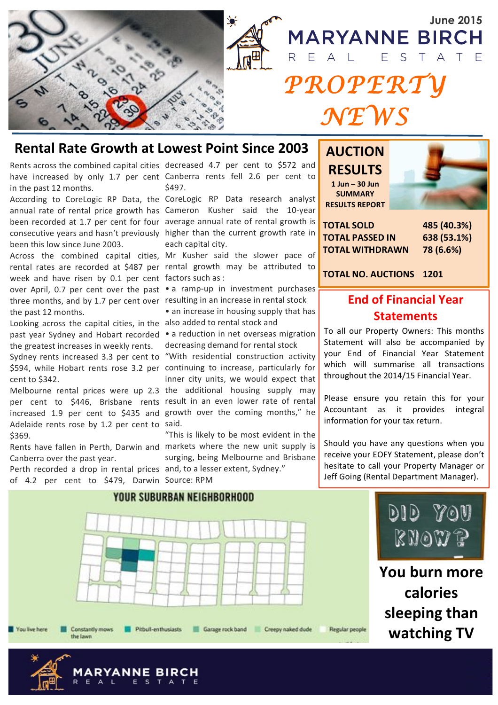

June 2015<br>MARYANNE BIRCH Ē  $S$ Ε  $\Delta$ *PROPERTY NEWS* 

## **Rental Rate Growth at Lowest Point Since 2003**

Rents across the combined capital cities decreased 4.7 per cent to \$572 and in the past 12 months.

According to CoreLogic RP Data, the CoreLogic RP Data research analyst been this low since June 2003.

week and have risen by 0.1 per cent factors such as : over April, 0.7 per cent over the past . a ramp-up in investment purchases three months, and by 1.7 per cent over resulting in an increase in rental stock the past 12 months.

Looking across the capital cities, in the also added to rental stock and the greatest increases in weekly rents.

cent to \$342.

per cent to \$446, Brisbane rents result in an even lower rate of rental increased 1.9 per cent to \$435 and growth over the coming months," he Adelaide rents rose by 1.2 per cent to said. \$369.

Canberra over the past year.

Perth recorded a drop in rental prices and, to a lesser extent, Sydney." of 4.2 per cent to \$479, Darwin Source: RPM

**YANNE BIRCH** 

have increased by only 1.7 per cent Canberra rents fell 2.6 per cent to \$497.

annual rate of rental price growth has Cameron Kusher said the 10-year been recorded at 1.7 per cent for four average annual rate of rental growth is consecutive years and hasn't previously higher than the current growth rate in each capital city.

Across the combined capital cities, Mr Kusher said the slower pace of rental rates are recorded at \$487 per rental growth may be attributed to

• an increase in housing supply that has

past year Sydney and Hobart recorded . a reduction in net overseas migration decreasing demand for rental stock

Sydney rents increased 3.3 per cent to "With residential construction activity \$594, while Hobart rents rose 3.2 per continuing to increase, particularly for Melbourne rental prices were up 2.3 the additional housing supply may inner city units, we would expect that

Rents have fallen in Perth, Darwin and markets where the new unit supply is "This is likely to be most evident in the surging, being Melbourne and Brisbane **AUCTION! RESULTS 1!Jun!– 30!Jun! SUMMARY! RESULTS!REPORT**



**TOTAL!SOLD TOTAL!PASSED!IN TOTAL!WITHDRAWN**

**485!(40.3%) 638!(53.1%) 78!(6.6%)**

**TOTAL!NO.!AUCTIONS 1201**

## **End!of!Financial!Year! Statements**

To all our Property Owners: This months Statement will also be accompanied by your End of Financial Year Statement which will summarise all transactions throughout the 2014/15 Financial Year.

Please ensure you retain this for your Accountant as it provides integral information for your tax return.

Should you have any questions when you receive your EOFY Statement, please don't hesitate to call your Property Manager or Jeff Going (Rental Department Manager).